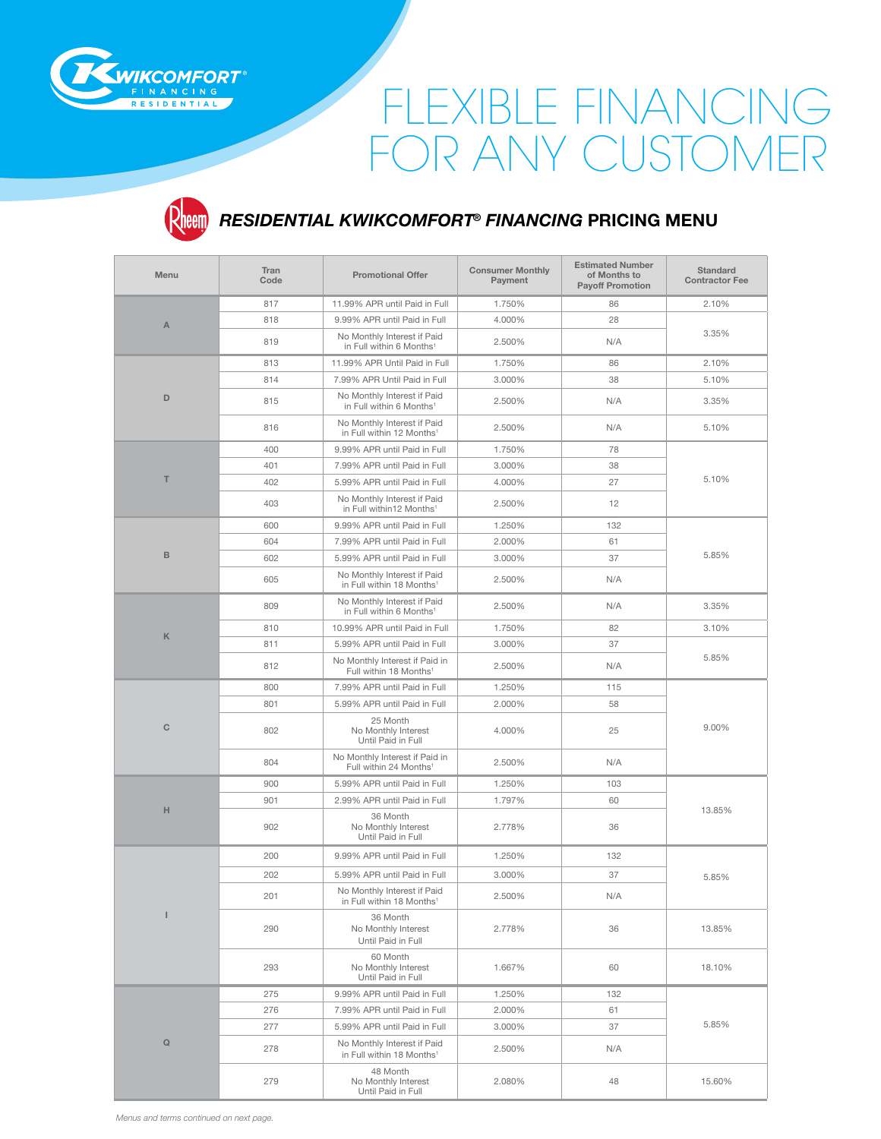

## FLEXIBLE FINANCING FOR ANY CUSTOMER



## *RESIDENTIAL KWIKCOMFORT***®** *FINANCING* **PRICING MENU**

| <b>Menu</b>   | Tran<br>Code | <b>Promotional Offer</b>                                             | <b>Consumer Monthly</b><br>Payment | <b>Estimated Number</b><br>of Months to<br><b>Payoff Promotion</b> | <b>Standard</b><br><b>Contractor Fee</b> |
|---------------|--------------|----------------------------------------------------------------------|------------------------------------|--------------------------------------------------------------------|------------------------------------------|
| A             | 817          | 11.99% APR until Paid in Full                                        | 1.750%                             | 86                                                                 | 2.10%                                    |
|               | 818          | 9.99% APR until Paid in Full                                         | 4.000%                             | 28                                                                 | 3.35%                                    |
|               | 819          | No Monthly Interest if Paid<br>in Full within 6 Months <sup>1</sup>  | 2.500%                             | N/A                                                                |                                          |
|               | 813          | 11.99% APR Until Paid in Full                                        | 1.750%                             | 86                                                                 | 2.10%                                    |
| D             | 814          | 7.99% APR Until Paid in Full                                         | 3.000%                             | 38                                                                 | 5.10%                                    |
|               | 815          | No Monthly Interest if Paid<br>in Full within 6 Months <sup>1</sup>  | 2.500%                             | N/A                                                                | 3.35%                                    |
|               | 816          | No Monthly Interest if Paid<br>in Full within 12 Months <sup>1</sup> | 2.500%                             | N/A                                                                | 5.10%                                    |
|               | 400          | 9.99% APR until Paid in Full                                         | 1.750%                             | 78                                                                 | 5.10%                                    |
|               | 401          | 7.99% APR until Paid in Full                                         | 3.000%                             | 38                                                                 |                                          |
| т             | 402          | 5.99% APR until Paid in Full                                         | 4.000%                             | 27                                                                 |                                          |
|               | 403          | No Monthly Interest if Paid<br>in Full within12 Months <sup>1</sup>  | 2.500%                             | 12                                                                 |                                          |
|               | 600          | 9.99% APR until Paid in Full                                         | 1.250%                             | 132                                                                |                                          |
|               | 604          | 7.99% APR until Paid in Full                                         | 2.000%                             | 61                                                                 |                                          |
| B             | 602          | 5.99% APR until Paid in Full                                         | 3.000%                             | 37                                                                 | 5.85%                                    |
|               | 605          | No Monthly Interest if Paid<br>in Full within 18 Months <sup>1</sup> | 2.500%                             | N/A                                                                |                                          |
| K             | 809          | No Monthly Interest if Paid<br>in Full within 6 Months <sup>1</sup>  | 2.500%                             | N/A                                                                | 3.35%                                    |
|               | 810          | 10.99% APR until Paid in Full                                        | 1.750%                             | 82                                                                 | 3.10%                                    |
|               | 811          | 5.99% APR until Paid in Full                                         | 3.000%                             | 37                                                                 | 5.85%                                    |
|               | 812          | No Monthly Interest if Paid in<br>Full within 18 Months <sup>1</sup> | 2.500%                             | N/A                                                                |                                          |
|               | 800          | 7.99% APR until Paid in Full                                         | 1.250%                             | 115                                                                | 9.00%                                    |
| C             | 801          | 5.99% APR until Paid in Full                                         | 2.000%                             | 58                                                                 |                                          |
|               | 802          | 25 Month<br>No Monthly Interest<br>Until Paid in Full                | 4.000%                             | 25                                                                 |                                          |
|               | 804          | No Monthly Interest if Paid in<br>Full within 24 Months <sup>1</sup> | 2.500%                             | N/A                                                                |                                          |
|               | 900          | 5.99% APR until Paid in Full                                         | 1.250%                             | 103                                                                | 13.85%                                   |
|               | 901          | 2.99% APR until Paid in Full                                         | 1.797%                             | 60                                                                 |                                          |
| н             | 902          | 36 Month<br>No Monthly Interest<br>Until Paid in Full                | 2.778%                             | 36                                                                 |                                          |
| I             | 200          | 9.99% APR until Paid in Full                                         | 1.250%                             | 132                                                                | 5.85%                                    |
|               | 202          | 5.99% APR until Paid in Full                                         | 3.000%                             | 37                                                                 |                                          |
|               | 201          | No Monthly Interest if Paid<br>in Full within 18 Months <sup>1</sup> | 2.500%                             | N/A                                                                |                                          |
|               | 290          | 36 Month<br>No Monthly Interest<br>Until Paid in Full                | 2.778%                             | 36                                                                 | 13.85%                                   |
|               | 293          | 60 Month<br>No Monthly Interest<br>Until Paid in Full                | 1.667%                             | 60                                                                 | 18.10%                                   |
| ${\mathsf Q}$ | 275          | 9.99% APR until Paid in Full                                         | 1.250%                             | 132                                                                | 5.85%                                    |
|               | 276          | 7.99% APR until Paid in Full                                         | 2.000%                             | 61                                                                 |                                          |
|               | 277          | 5.99% APR until Paid in Full                                         | 3.000%                             | 37                                                                 |                                          |
|               | 278          | No Monthly Interest if Paid<br>in Full within 18 Months <sup>1</sup> | 2.500%                             | N/A                                                                |                                          |
|               | 279          | 48 Month<br>No Monthly Interest<br>Until Paid in Full                | 2.080%                             | 48                                                                 | 15.60%                                   |

*Menus and terms continued on next page.*